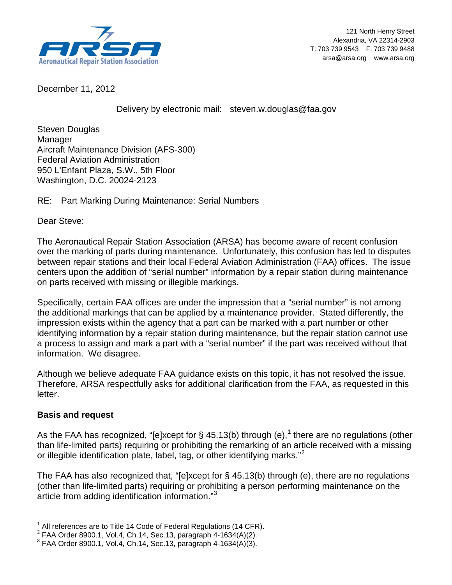

December 11, 2012

Delivery by electronic mail: steven.w.douglas@faa.gov

Steven Douglas Manager Aircraft Maintenance Division (AFS-300) Federal Aviation Administration 950 L'Enfant Plaza, S.W., 5th Floor Washington, D.C. 20024-2123

## RE: Part Marking During Maintenance: Serial Numbers

Dear Steve:

The Aeronautical Repair Station Association (ARSA) has become aware of recent confusion over the marking of parts during maintenance. Unfortunately, this confusion has led to disputes between repair stations and their local Federal Aviation Administration (FAA) offices. The issue centers upon the addition of "serial number" information by a repair station during maintenance on parts received with missing or illegible markings.

Specifically, certain FAA offices are under the impression that a "serial number" is not among the additional markings that can be applied by a maintenance provider. Stated differently, the impression exists within the agency that a part can be marked with a part number or other identifying information by a repair station during maintenance, but the repair station cannot use a process to assign and mark a part with a "serial number" if the part was received without that information. We disagree.

Although we believe adequate FAA guidance exists on this topic, it has not resolved the issue. Therefore, ARSA respectfully asks for additional clarification from the FAA, as requested in this letter.

## **Basis and request**

As the FAA has recognized, "[e]xcept for § 45.[1](#page-0-0)3(b) through (e),<sup>1</sup> there are no regulations (other than life-limited parts) requiring or prohibiting the remarking of an article received with a missing or illegible identification plate, label, tag, or other identifying marks."[2](#page-0-1)

The FAA has also recognized that, "[e]xcept for § 45.13(b) through (e), there are no regulations (other than life-limited parts) requiring or prohibiting a person performing maintenance on the article from adding identification information."<sup>[3](#page-0-2)</sup>

All references are to Title 14 Code of Federal Regulations (14 CFR).

<span id="page-0-2"></span><span id="page-0-1"></span><span id="page-0-0"></span><sup>&</sup>lt;sup>2</sup> FAA Order 8900.1, Vol.4, Ch.14, Sec.13, paragraph 4-1634(A)(2).<br><sup>3</sup> FAA Order 8900.1, Vol.4, Ch.14, Sec.13, paragraph 4-1634(A)(3).